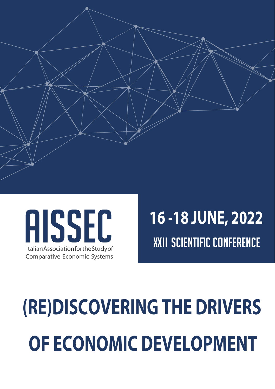

### AISSEC Italian Association for the Study of Comparative Economic Systems

## **16 -18 JUNE, 2022 XXII SCIENTIFIC CONFERENCE**

# **(RE)DISCOVERING THE DRIVERS OF ECONOMIC DEVELOPMENT**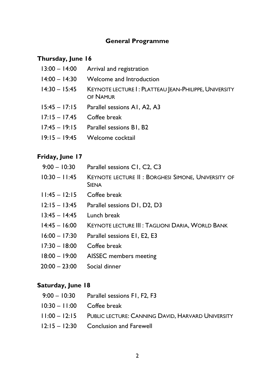#### **General Programme**

#### **Thursday, June 16**

- 13:00 14:00 Arrival and registration
- 14:00 14:30 Welcome and Introduction
- 14:30 15:45 KEYNOTE LECTURE I : PLATTEAU JEAN-PHILIPPE, UNIVERSITY OF NAMUR
- 15:45 17:15 Parallel sessions A1, A2, A3
- 17:15 17.45 Coffee break
- 17:45 19:15 Parallel sessions B1, B2
- 19:15 19:45 Welcome cocktail

#### **Friday, June 17**

- 9:00 10:30 Parallel sessions C1, C2, C3 10:30 – 11:45 KEYNOTE LECTURE II : BORGHESI SIMONE, UNIVERSITY OF **SIENA**
- 11:45 12:15 Coffee break
- 12:15 13:45 Parallel sessions D1, D2, D3
- 13:45 14:45 Lunch break
- 14:45 16:00 KEYNOTE LECTURE III : TAGLIONI DARIA, WORLD BANK
- 16:00 17:30 Parallel sessions E1, E2, E3
- 17:30 18:00 Coffee break
- 18:00 19:00 AISSEC members meeting
- 20:00 23:00 Social dinner

#### **Saturday, June 18**

- 9:00 10:30 Parallel sessions F1, F2, F3
- 10:30 11:00 Coffee break
- 11:00 12:15 PUBLIC LECTURE: CANNING DAVID, HARVARD UNIVERSITY
- 12:15 12:30 Conclusion and Farewell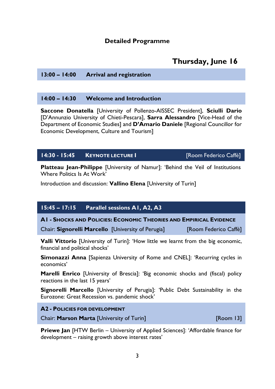#### **Detailed Programme**

#### **Thursday, June 16**

#### **13:00 – 14:00 Arrival and registration**

#### **14:00 – 14:30 Welcome and Introduction**

**Saccone Donatella** [University of Pollenzo-AISSEC President], **Sciulli Dario** [D'Annunzio University of Chieti-Pescara], **Sarra Alessandro** [Vice-Head of the Department of Economic Studies] and **D'Amario Daniele** [Regional Councillor for Economic Development, Culture and Tourism]

#### **14:30 - 15:45 KEYNOTE LECTURE I** [Room Federico Caffè]

**Platteau Jean-Philippe** [University of Namur]: 'Behind the Veil of Institutions Where Politics Is At Work'

Introduction and discussion: **Vallino Elena** [University of Turin]

#### **15:45 – 17:15 Parallel sessions A1, A2, A3**

**A1 - SHOCKS AND POLICIES: ECONOMIC THEORIES AND EMPIRICAL EVIDENCE** 

Chair: **Signorelli Marcello** [University of Perugia] [Room Federico Caffè]

**Valli Vittorio** [University of Turin]: 'How little we learnt from the big economic, financial and political shocks'

**Simonazzi Anna** [Sapienza University of Rome and CNEL]: 'Recurring cycles in economics'

**Marelli Enrico** [University of Brescia]: 'Big economic shocks and (fiscal) policy reactions in the last 15 years'

**Signorelli Marcello** [University of Perugia]: 'Public Debt Sustainability in the Eurozone: Great Recession vs. pandemic shock'

#### **A2 - POLICIES FOR DEVELOPMENT**

Chair: **Marson Marta** [University of Turin] [Room 13]

**Priewe Jan** [HTW Berlin – University of Applied Sciences]: 'Affordable finance for development – raising growth above interest rates'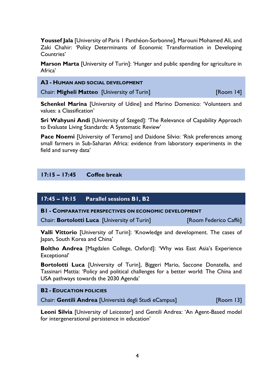**Youssef Jala** [University of Paris 1 Panthéon-Sorbonne], Marouni Mohamed Ali, and Zaki Chahir: 'Policy Determinants of Economic Transformation in Developing Countries'

**Marson Marta** [University of Turin]: 'Hunger and public spending for agriculture in Africa'

#### **A3 - HUMAN AND SOCIAL DEVELOPMENT**

Chair: **Migheli Matteo** [University of Turin] [Room 14]

**Schenkel Marina** [University of Udine] and Marino Domenico: 'Volunteers and values: a Classification'

**Sri Wahyuni Andi** [University of Szeged]: 'The Relevance of Capability Approach to Evaluate Living Standards: A Systematic Review'

**Pace Noemi** [University of Teramo] and Daidone Silvio: 'Risk preferences among small farmers in Sub-Saharan Africa: evidence from laboratory experiments in the field and survey data'

#### **17:15 – 17:45 Coffee break**

#### **17:45 – 19:15 Parallel sessions B1, B2**

**B1 - COMPARATIVE PERSPECTIVES ON ECONOMIC DEVELOPMENT** 

Chair: **Bortolotti Luca** [University of Turin] [Room Federico Caffè]

**Valli Vittorio** [University of Turin]: 'Knowledge and development. The cases of Japan, South Korea and China'

**Boltho Andrea** [Magdalen College, Oxford]: 'Why was East Asia's Experience Exceptional'

**Bortolotti Luca** [University of Turin], Biggeri Mario, Saccone Donatella, and Tassinari Mattia: 'Policy and political challenges for a better world: The China and USA pathways towards the 2030 Agenda'

#### **B2 - EDUCATION POLICIES**

Chair: **Gentili Andrea** [Università degli Studi eCampus] [Room 13]

**Leoni Silvia** [University of Leicester] and Gentili Andrea: 'An Agent-Based model for intergenerational persistence in education'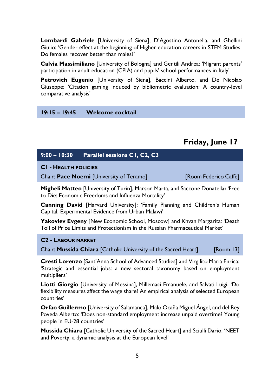**Lombardi Gabriele** [University of Siena], D'Agostino Antonella, and Ghellini Giulio: 'Gender effect at the beginning of Higher education careers in STEM Studies. Do females recover better than males?'

**Calvia Massimiliano** [University of Bologna] and Gentili Andrea: 'Migrant parents' participation in adult education (CPIA) and pupils' school performances in Italy'

**Petrovich Eugenio** [University of Siena], Baccini Alberto, and De Nicolao Giuseppe: 'Citation gaming induced by bibliometric evaluation: A country-level comparative analysis'

#### **19:15 – 19:45 Welcome cocktail**

#### **Friday, June 17**

| $9:00 - 10:30$              | <b>Parallel sessions C1, C2, C3</b>             |                       |
|-----------------------------|-------------------------------------------------|-----------------------|
| <b>CI - HEALTH POLICIES</b> |                                                 |                       |
|                             | Chair: <b>Pace Noemi</b> [University of Teramo] | [Room Federico Caffè] |
|                             |                                                 |                       |

**Migheli Matteo** [University of Turin], Marson Marta, and Saccone Donatella**:** 'Free to Die: Economic Freedoms and Influenza Mortality'

**Canning David** [Harvard University]: 'Family Planning and Children's Human Capital: Experimental Evidence from Urban Malawi'

**Yakovlev Evgeny** [New Economic School, Moscow] and Khvan Margarita: 'Death Toll of Price Limits and Protectionism in the Russian Pharmaceutical Market'

#### **C2 - LABOUR MARKET**

Chair: **Mussida Chiara** [Catholic University of the Sacred Heart] [Room 13]

**Cresti Lorenzo** [Sant'Anna School of Advanced Studies] and Virgilito Maria Enrica: 'Strategic and essential jobs: a new sectoral taxonomy based on employment multipliers'

**Liotti Giorgio** [University of Messina], Millemaci Emanuele, and Salvati Luigi: 'Do flexibility measures affect the wage share? An empirical analysis of selected European countries'

**Orfao Guillermo** [University of Salamanca], Malo Ocaña Miguel Ángel, and del Rey Poveda Alberto: 'Does non-standard employment increase unpaid overtime? Young people in EU-28 countries'

**Mussida Chiara** [Catholic University of the Sacred Heart] and Sciulli Dario: 'NEET and Poverty: a dynamic analysis at the European level'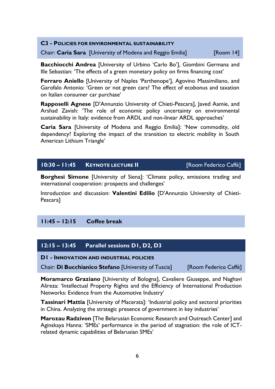| <b>C3 - POLICIES FOR ENVIRONMENTAL SUSTAINABILITY</b> |                                                            |           |  |
|-------------------------------------------------------|------------------------------------------------------------|-----------|--|
|                                                       | Chair: Caria Sara [University of Modena and Reggio Emilia] | [Room 14] |  |

**Bacchiocchi Andrea** [University of Urbino 'Carlo Bo'], Giombini Germana and Ille Sebastian: 'The effects of a green monetary policy on firms financing cost'

**Ferraro Aniello** [University of Naples 'Parthenope'], Agovino Massimiliano, and Garofalo Antonio: 'Green or not green cars? The effect of ecobonus and taxation on Italian consumer car purchase'

**Rapposelli Agnese** [D'Annunzio University of Chieti-Pescara], Javed Aamie, and Arshad Zavish: 'The role of economic policy uncertainty on environmental sustainability in Italy: evidence from ARDL and non-linear ARDL approaches'

**Caria Sara** [University of Modena and Reggio Emilia]: 'New commodity, old dependency? Exploring the impact of the transition to electric mobility in South American Lithium Triangle'

#### **10:30 – 11:45 KEYNOTE LECTURE II** [Room Federico Caffè]

**Borghesi Simone** [University of Siena]: 'Climate policy, emissions trading and international cooperation: prospects and challenges'

Introduction and discussion: **Valentini Edilio** [D'Annunzio University of Chieti-Pescara]

#### **11:45 – 12:15 Coffee break**

#### **12:15 – 13:45 Parallel sessions D1, D2, D3**

**D1 - INNOVATION AND INDUSTRIAL POLICIES** 

Chair: **Di Bucchianico Stefano** [University of Tuscia] [Room Federico Caffè]

**Moramarco Graziano** [University of Bologna], Cavaliere Giuseppe, and Naghavi Alireza: 'Intellectual Property Rights and the Efficiency of International Production Networks: Evidence from the Automotive Industry'

**Tassinari Mattia** [University of Macerata]: 'Industrial policy and sectoral priorities in China. Analyzing the strategic presence of government in key industries'

**Marozau Radzivon** [The Belarusian Economic Research and Outreach Center] and Aginskaya Hanna: 'SMEs' performance in the period of stagnation: the role of ICTrelated dynamic capabilities of Belarusian SMEs'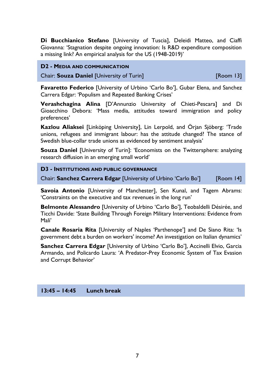**Di Bucchianico Stefano** [University of Tuscia], Deleidi Matteo, and Ciaffi Giovanna: 'Stagnation despite ongoing innovation: Is R&D expenditure composition a missing link? An empirical analysis for the US (1948-2019)'

#### **D2 - MEDIA AND COMMUNICATION**

Chair: **Souza Daniel** [University of Turin] [Room 13]

**Favaretto Federico** [University of Urbino 'Carlo Bo'], Gubar Elena, and Sanchez Carrera Edgar: 'Populism and Repeated Banking Crises'

**Verashchagina Alina** [D'Annunzio University of Chieti-Pescara] and Di Gioacchino Debora: 'Mass media, attitudes toward immigration and policy preferences'

**Kazlou Aliaksei** [Linköping University], Lin Lerpold, and Örjan Sjöberg: 'Trade unions, refugees and immigrant labour: has the attitude changed? The stance of Swedish blue-collar trade unions as evidenced by sentiment analysis'

**Souza Daniel [University of Turin]: 'Economists on the Twittersphere: analyzing** research diffusion in an emerging small world'

#### **D3 - INSTITUTIONS AND PUBLIC GOVERNANCE**

Chair: **Sanchez Carrera Edgar** [University of Urbino 'Carlo Bo'] [Room 14]

**Savoia Antonio** [University of Manchester], Sen Kunal, and Tagem Abrams: 'Constraints on the executive and tax revenues in the long run'

**Belmonte Alessandro** [University of Urbino 'Carlo Bo'], Teobaldelli Désirée, and Ticchi Davide: 'State Building Through Foreign Military Interventions: Evidence from Mali'

**Canale Rosaria Rita** [University of Naples 'Parthenope'] and De Siano Rita: 'Is government debt a burden on workers' income? An investigation on Italian dynamics'

**Sanchez Carrera Edgar** [University of Urbino 'Carlo Bo'], Accinelli Elvio, Garcia Armando, and Policardo Laura: 'A Predator-Prey Economic System of Tax Evasion and Corrupt Behavior'

#### **13:45 – 14:45 Lunch break**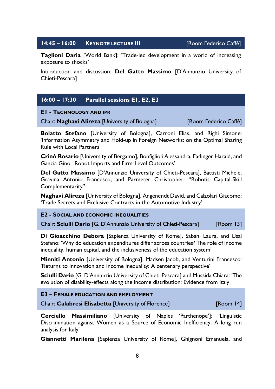#### **14:45 – 16:00 KEYNOTE LECTURE III** [Room Federico Caffè]

**Taglioni Daria** [World Bank]: 'Trade-led development in a world of increasing exposure to shocks'

Introduction and discussion: **Del Gatto Massimo** [D'Annunzio University of Chieti-Pescara]

#### **16:00 – 17:30 Parallel sessions E1, E2, E3**

#### **E1 - TECHNOLOGY AND IPR**

Chair: **Naghavi Alireza** [University of Bologna] [Room Federico Caffè]

**Bolatto Stefano** [University of Bologna], Carroni Elias, and Righi Simone: 'Information Asymmetry and Hold-up in Foreign Networks: on the Optimal Sharing Rule with Local Partners'

**Crinò Rosario** [University of Bergamo], Bonfiglioli Alessandra, Fadinger Harald, and Gancia Gino: 'Robot Imports and Firm-Level Outcomes'

**Del Gatto Massimo** [D'Annunzio University of Chieti-Pescara], Battisti Michele, Gravina Antonio Francesco, and Parmeter Christopher: "Robotic Capital-Skill Complementarity"

**Naghavi Alireza** [University of Bologna], Angenendt David, and Calzolari Giacomo: 'Trade Secrets and Exclusive Contracts in the Automotive Industry'

#### **E2 - SOCIAL AND ECONOMIC INEQUALITIES**

Chair: **Sciulli Dario** [G. D'Annunzio University of Chieti-Pescara] [Room 13]

**Di Gioacchino Debora** [Sapienza University of Rome], Sabani Laura, and Usai Stefano: 'Why do education expenditures differ across countries? The role of income inequality, human capital, and the inclusiveness of the education system'

**Minniti Antonio** [University of Bologna], Madsen Jacob, and Venturini Francesco: 'Returns to Innovation and Income Inequality: A centenary perspective'

**Sciulli Dario** [G. D'Annunzio University of Chieti-Pescara] and Mussida Chiara: 'The evolution of disability-effects along the income distribution: Evidence from Italy

| <b>E3 - FEMALE EDUCATION AND EMPLOYMENT</b>          |           |
|------------------------------------------------------|-----------|
| Chair: Calabresi Elisabetta [University of Florence] | [Room 14] |

**Cerciello Massimiliano** [University of Naples 'Parthenope']: 'Linguistic Discrimination against Women as a Source of Economic Inefficiency. A long run analysis for Italy'

**Giannetti Marilena** [Sapienza University of Rome], Ghignoni Emanuela, and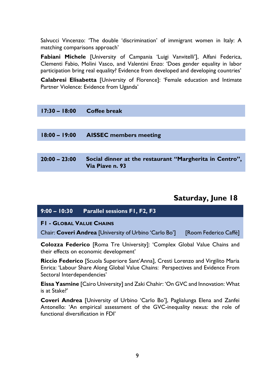Salvucci Vincenzo: 'The double 'discrimination' of immigrant women in Italy: A matching comparisons approach'

**Fabiani Michele** [University of Campania 'Luigi Vanvitelli'], Alfani Federica, Clementi Fabio, Molini Vasco, and Valentini Enzo: 'Does gender equality in labor participation bring real equality? Evidence from developed and developing countries'

**Calabresi Elisabetta** [University of Florence]: 'Female education and Intimate Partner Violence: Evidence from Uganda'

| $17:30 - 18:00$ | Coffee break                                                               |
|-----------------|----------------------------------------------------------------------------|
|                 |                                                                            |
| $18:00 - 19:00$ | <b>AISSEC</b> members meeting                                              |
|                 |                                                                            |
| $20:00 - 23:00$ | Social dinner at the restaurant "Margherita in Centro",<br>Via Piave n. 93 |
|                 |                                                                            |

#### **Saturday, June 18**

| $9:00 - 10:30$                  | <b>Parallel sessions F1, F2, F3</b>                                                                                       |                       |
|---------------------------------|---------------------------------------------------------------------------------------------------------------------------|-----------------------|
| <b>FI - GLOBAL VALUE CHAINS</b> |                                                                                                                           |                       |
|                                 | Chair: Coveri Andrea [University of Urbino 'Carlo Bo']                                                                    | [Room Federico Caffè] |
|                                 | <b>Colozza Federico</b> [Roma Tre University]: 'Complex Global Value Chains and<br>their effects on economic development' |                       |

**Riccio Federico** [Scuola Superiore Sant'Anna], Cresti Lorenzo and Virgilito Maria Enrica: 'Labour Share Along Global Value Chains: Perspectives and Evidence From Sectoral Interdependencies'

**Eissa Yasmine** [Cairo University] and Zaki Chahir: 'On GVC and Innovation: What is at Stake?'

**Coveri Andrea** [University of Urbino 'Carlo Bo'], Paglialunga Elena and Zanfei Antonello: 'An empirical assessment of the GVC-inequality nexus: the role of functional diversification in FDI'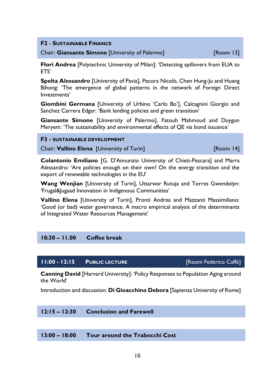**F2** - **SUSTAINABLE FINANCE** 

Chair: **Giansante Simone** [University of Palermo] [Room 13]

**Flori Andrea** [Polytechnic University of Milan]: 'Detecting spillovers from EUA to ETS'

**Spelta Alessandro** [University of Pavia], Pecora Nicolò, Chen Hung-Ju and Huang Bihong: 'The emergence of global patterns in the network of Foreign Direct Investments'

**Giombini Germana** [University of Urbino 'Carlo Bo'], Calcagnini Giorgio and Sanchez Carrera Edgar: 'Bank lending policies and green transition'

**Giansante Simone** [University of Palermo], Fatouh Mahmoud and Duygun Meryem: 'The sustainability and environmental effects of QE via bond issuance'

#### **F3 - SUSTAINABLE DEVELOPMENT**

**Chair: Vallino Elena [University of Turin]** [Chair: **Vallino Help** | 41]

**Colantonio Emiliano** [G. D'Annunzio University of Chieti-Pescara] and Marra Alessandro: 'Are policies enough on their own? On the energy transition and the export of renewable technologies in the EU'

**Wang Wenjian** [University of Turin], Uttarwar Rutuja and Torres Gwendolyn: 'Frugal&Jugaad Innovation in Indigenous Communities'

**Vallino Elena** [University of Turin], Pronti Andrea and Mazzanti Massimiliano: 'Good (or bad) water governance. A macro empirical analysis of the determinants of Integrated Water Resources Management'

#### **10:30 – 11.00 Coffee break**

#### **11:00 - 12:15 PUBLIC LECTURE** [Room Federico Caffè]

**Canning David** [Harvard University]: 'Policy Responses to Population Aging around the World'

Introduction and discussion: **Di Gioacchino Debora** [Sapienza University of Rome]

#### **12:15 – 12:30 Conclusion and Farewell**

#### **13:00 – 18:00 Tour around the Trabocchi Cost**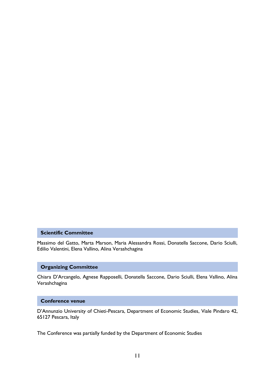#### **Scientific Committee**

Massimo del Gatto, Marta Marson, Maria Alessandra Rossi, Donatella Saccone, Dario Sciulli, Edilio Valentini, Elena Vallino, Alina Verashchagina

#### **Organizing Committee**

Chiara D'Arcangelo, Agnese Rapposelli, Donatella Saccone, Dario Sciulli, Elena Vallino, Alina Verashchagina

#### **Conference venue**

D'Annunzio University of Chieti-Pescara, Department of Economic Studies, Viale Pindaro 42, 65127 Pescara, Italy

The Conference was partially funded by the Department of Economic Studies